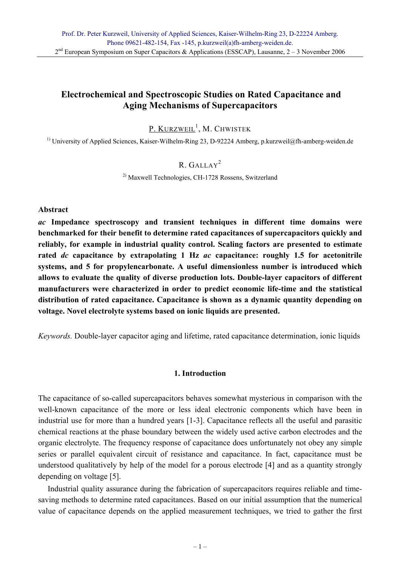## **Electrochemical and Spectroscopic Studies on Rated Capacitance and Aging Mechanisms of Supercapacitors**

## <u>P. Kurzweil<sup>1</sup>,</u> M. Chwistek

<sup>1)</sup> University of Applied Sciences, Kaiser-Wilhelm-Ring 23, D-92224 Amberg, p.kurzweil@fh-amberg-weiden.de

## R. GALLAY<sup>2</sup>

2) Maxwell Technologies, CH-1728 Rossens, Switzerland

### **Abstract**

*ac* **Impedance spectroscopy and transient techniques in different time domains were benchmarked for their benefit to determine rated capacitances of supercapacitors quickly and reliably, for example in industrial quality control. Scaling factors are presented to estimate rated** *dc* **capacitance by extrapolating 1 Hz** *ac* **capacitance: roughly 1.5 for acetonitrile systems, and 5 for propylencarbonate. A useful dimensionless number is introduced which allows to evaluate the quality of diverse production lots. Double-layer capacitors of different manufacturers were characterized in order to predict economic life-time and the statistical distribution of rated capacitance. Capacitance is shown as a dynamic quantity depending on voltage. Novel electrolyte systems based on ionic liquids are presented.** 

*Keywords.* Double-layer capacitor aging and lifetime, rated capacitance determination, ionic liquids

### **1. Introduction**

The capacitance of so-called supercapacitors behaves somewhat mysterious in comparison with the well-known capacitance of the more or less ideal electronic components which have been in industrial use for more than a hundred years [1-3]. Capacitance reflects all the useful and parasitic chemical reactions at the phase boundary between the widely used active carbon electrodes and the organic electrolyte. The frequency response of capacitance does unfortunately not obey any simple series or parallel equivalent circuit of resistance and capacitance. In fact, capacitance must be understood qualitatively by help of the model for a porous electrode [4] and as a quantity strongly depending on voltage [5].

 Industrial quality assurance during the fabrication of supercapacitors requires reliable and timesaving methods to determine rated capacitances. Based on our initial assumption that the numerical value of capacitance depends on the applied measurement techniques, we tried to gather the first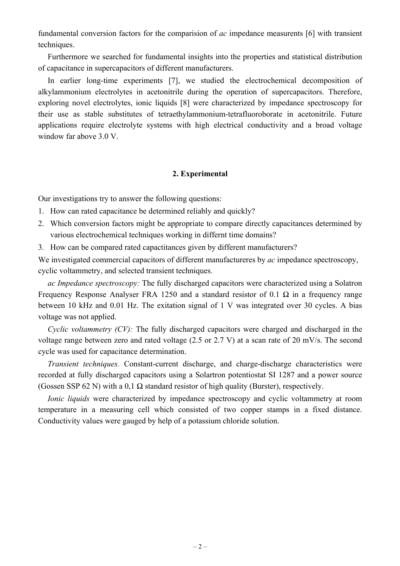fundamental conversion factors for the comparision of *ac* impedance measurents [6] with transient techniques.

 Furthermore we searched for fundamental insights into the properties and statistical distribution of capacitance in supercapacitors of different manufacturers.

 In earlier long-time experiments [7], we studied the electrochemical decomposition of alkylammonium electrolytes in acetonitrile during the operation of supercapacitors. Therefore, exploring novel electrolytes, ionic liquids [8] were characterized by impedance spectroscopy for their use as stable substitutes of tetraethylammonium-tetrafluoroborate in acetonitrile. Future applications require electrolyte systems with high electrical conductivity and a broad voltage window far above 3.0 V.

### **2. Experimental**

Our investigations try to answer the following questions:

- 1. How can rated capacitance be determined reliably and quickly?
- 2. Which conversion factors might be appropriate to compare directly capacitances determined by various electrochemical techniques working in differnt time domains?
- 3. How can be compared rated capactitances given by different manufacturers?

We investigated commercial capacitors of different manufactureres by *ac* impedance spectroscopy, cyclic voltammetry, and selected transient techniques.

*ac Impedance spectroscopy:* The fully discharged capacitors were characterized using a Solatron Frequency Response Analyser FRA 1250 and a standard resistor of 0.1  $\Omega$  in a frequency range between 10 kHz and 0.01 Hz. The exitation signal of 1 V was integrated over 30 cycles. A bias voltage was not applied.

*Cyclic voltammetry (CV):* The fully discharged capacitors were charged and discharged in the voltage range between zero and rated voltage (2.5 or 2.7 V) at a scan rate of 20 mV/s. The second cycle was used for capacitance determination.

*Transient techniques.* Constant-current discharge, and charge-discharge characteristics were recorded at fully discharged capacitors using a Solartron potentiostat SI 1287 and a power source (Gossen SSP 62 N) with a 0,1  $\Omega$  standard resistor of high quality (Burster), respectively.

*Ionic liquids* were characterized by impedance spectroscopy and cyclic voltammetry at room temperature in a measuring cell which consisted of two copper stamps in a fixed distance. Conductivity values were gauged by help of a potassium chloride solution.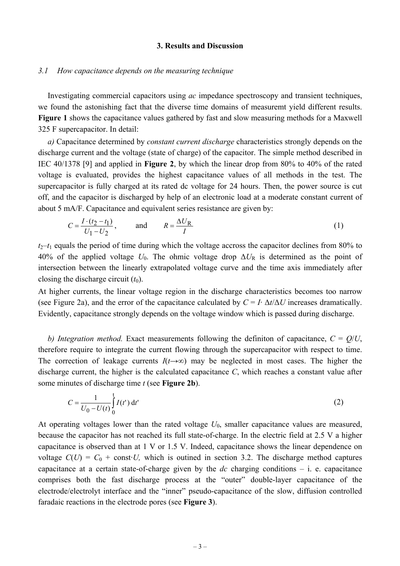### **3. Results and Discussion**

#### *3.1 How capacitance depends on the measuring technique*

 Investigating commercial capacitors using *ac* impedance spectroscopy and transient techniques, we found the astonishing fact that the diverse time domains of measuremt yield different results. **Figure 1** shows the capacitance values gathered by fast and slow measuring methods for a Maxwell 325 F supercapacitor. In detail:

*a)* Capacitance determined by *constant current discharge* characteristics strongly depends on the discharge current and the voltage (state of charge) of the capacitor. The simple method described in IEC 40/1378 [9] and applied in **Figure 2**, by which the linear drop from 80% to 40% of the rated voltage is evaluated, provides the highest capacitance values of all methods in the test. The supercapacitor is fully charged at its rated dc voltage for 24 hours. Then, the power source is cut off, and the capacitor is discharged by help of an electronic load at a moderate constant current of about 5 mA/F. Capacitance and equivalent series resistance are given by:

$$
C = \frac{I \cdot (t_2 - t_1)}{U_1 - U_2}, \quad \text{and} \quad R = \frac{\Delta U_R}{I}
$$
 (1)

 $t_2$ – $t_1$  equals the period of time during which the voltage accross the capacitor declines from 80% to 40% of the applied voltage  $U_0$ . The ohmic voltage drop  $\Delta U_R$  is determined as the point of intersection between the linearly extrapolated voltage curve and the time axis immediately after closing the discharge circuit  $(t_0)$ .

At higher currents, the linear voltage region in the discharge characteristics becomes too narrow (see Figure 2a), and the error of the capacitance calculated by  $C = I \Delta t / \Delta U$  increases dramatically. Evidently, capacitance strongly depends on the voltage window which is passed during discharge.

*b)* Integration method. Exact measurements following the definiton of capacitance,  $C = Q/U$ , therefore require to integrate the current flowing through the supercapacitor with respect to time. The correction of leakage currents  $I(t\rightarrow\infty)$  may be neglected in most cases. The higher the discharge current, the higher is the calculated capacitance *C*, which reaches a constant value after some minutes of discharge time *t* (see **Figure 2b**).

$$
C = \frac{1}{U_0 - U(t)} \int_0^t I(t') dt'
$$
 (2)

At operating voltages lower than the rated voltage  $U_0$ , smaller capacitance values are measured, because the capacitor has not reached its full state-of-charge. In the electric field at 2.5 V a higher capacitance is observed than at 1 V or 1.5 V. Indeed, capacitance shows the linear dependence on voltage  $C(U) = C_0 + \text{const} \cdot U$ , which is outined in section 3.2. The discharge method captures capacitance at a certain state-of-charge given by the *dc* charging conditions – i. e. capacitance comprises both the fast discharge process at the "outer" double-layer capacitance of the electrode/electrolyt interface and the "inner" pseudo-capacitance of the slow, diffusion controlled faradaic reactions in the electrode pores (see **Figure 3**).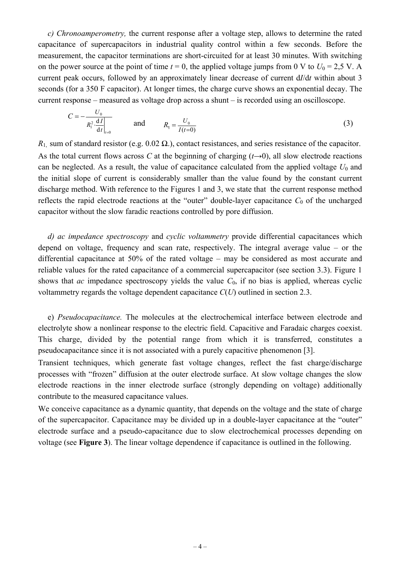*c) Chronoamperometry,* the current response after a voltage step, allows to determine the rated capacitance of supercapacitors in industrial quality control within a few seconds. Before the measurement, the capacitor terminations are short-circuited for at least 30 minutes. With switching on the power source at the point of time  $t = 0$ , the applied voltage jumps from 0 V to  $U_0 = 2.5$  V. A current peak occurs, followed by an approximately linear decrease of current d*I*/d*t* within about 3 seconds (for a 350 F capacitor). At longer times, the charge curve shows an exponential decay. The current response – measured as voltage drop across a shunt – is recorded using an oscilloscope.

$$
C = -\frac{U_0}{R_1^2 \frac{dI}{dt}\Big|_{t=0}} \quad \text{and} \quad R_1 = \frac{U_0}{I(t=0)} \tag{3}
$$

 $R_1$ , sum of standard resistor (e.g. 0.02  $\Omega$ .), contact resistances, and series resistance of the capacitor. As the total current flows across *C* at the beginning of charging  $(t\rightarrow 0)$ , all slow electrode reactions can be neglected. As a result, the value of capacitance calculated from the applied voltage  $U_0$  and the initial slope of current is considerably smaller than the value found by the constant current discharge method. With reference to the Figures 1 and 3, we state that the current response method reflects the rapid electrode reactions at the "outer" double-layer capacitance  $C_0$  of the uncharged capacitor without the slow faradic reactions controlled by pore diffusion.

 *d) ac impedance spectroscopy* and *cyclic voltammetry* provide differential capacitances which depend on voltage, frequency and scan rate, respectively. The integral average value – or the differential capacitance at 50% of the rated voltage – may be considered as most accurate and reliable values for the rated capacitance of a commercial supercapacitor (see section 3.3). Figure 1 shows that *ac* impedance spectroscopy yields the value  $C_0$ , if no bias is applied, whereas cyclic voltammetry regards the voltage dependent capacitance *C*(*U*) outlined in section 2.3.

 e) *Pseudocapacitance.* The molecules at the electrochemical interface between electrode and electrolyte show a nonlinear response to the electric field. Capacitive and Faradaic charges coexist. This charge, divided by the potential range from which it is transferred, constitutes a pseudocapacitance since it is not associated with a purely capacitive phenomenon [3].

Transient techniques, which generate fast voltage changes, reflect the fast charge/discharge processes with "frozen" diffusion at the outer electrode surface. At slow voltage changes the slow electrode reactions in the inner electrode surface (strongly depending on voltage) additionally contribute to the measured capacitance values.

We conceive capacitance as a dynamic quantity, that depends on the voltage and the state of charge of the supercapacitor. Capacitance may be divided up in a double-layer capacitance at the "outer" electrode surface and a pseudo-capacitance due to slow electrochemical processes depending on voltage (see **Figure 3**). The linear voltage dependence if capacitance is outlined in the following.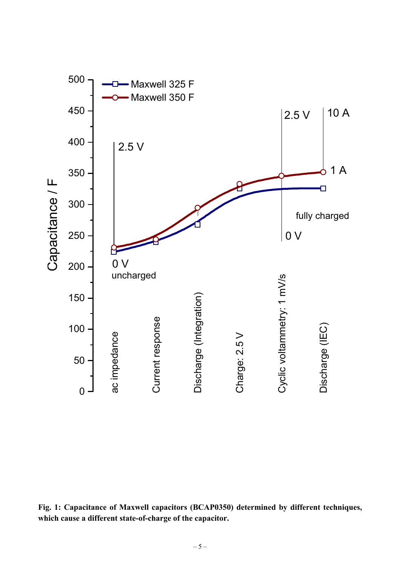

**Fig. 1: Capacitance of Maxwell capacitors (BCAP0350) determined by different techniques, which cause a different state-of-charge of the capacitor.**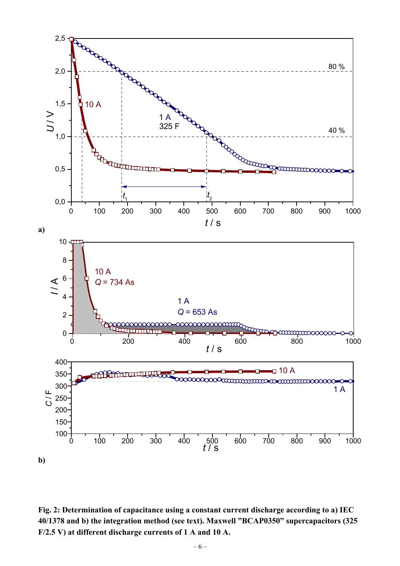

**Fig. 2: Determination of capacitance using a constant current discharge according to a) IEC 40/1378 and b) the integration method (see text). Maxwell "BCAP0350" supercapacitors (325 F/2.5 V) at different discharge currents of 1 A and 10 A.**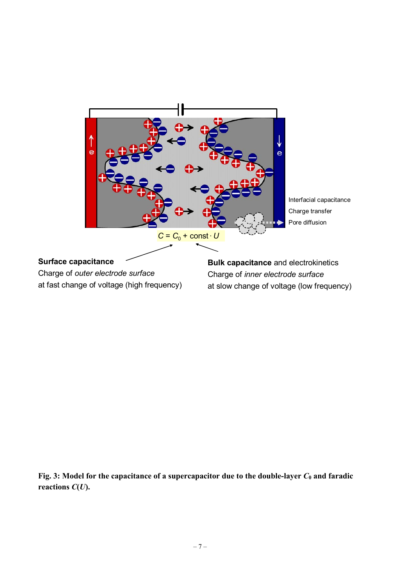

Fig. 3: Model for the capacitance of a supercapacitor due to the double-layer  $C_0$  and faradic **reactions** *C***(***U***).**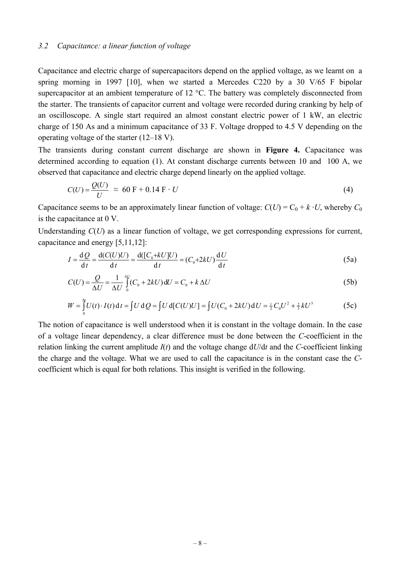### *3.2 Capacitance: a linear function of voltage*

Capacitance and electric charge of supercapacitors depend on the applied voltage, as we learnt on a spring morning in 1997 [10], when we started a Mercedes C220 by a 30 V/65 F bipolar supercapacitor at an ambient temperature of 12 °C. The battery was completely disconnected from the starter. The transients of capacitor current and voltage were recorded during cranking by help of an oscilloscope. A single start required an almost constant electric power of 1 kW, an electric charge of 150 As and a minimum capacitance of 33 F. Voltage dropped to 4.5 V depending on the operating voltage of the starter (12–18 V).

The transients during constant current discharge are shown in **Figure 4.** Capacitance was determined according to equation (1). At constant discharge currents between 10 and 100 A, we observed that capacitance and electric charge depend linearly on the applied voltage.

$$
C(U) = \frac{Q(U)}{U} \approx 60 \text{ F} + 0.14 \text{ F} \cdot U \tag{4}
$$

Capacitance seems to be an approximately linear function of voltage:  $C(U) = C_0 + k \cdot U$ , whereby  $C_0$ is the capacitance at 0 V.

Understanding *C*(*U*) as a linear function of voltage, we get corresponding expressions for current, capacitance and energy [5,11,12]:

$$
I = \frac{\mathrm{d}Q}{\mathrm{d}t} = \frac{\mathrm{d}(C(U)U)}{\mathrm{d}t} = \frac{\mathrm{d}([C_0 + kU]U)}{\mathrm{d}t} = (C_0 + 2kU)\frac{\mathrm{d}U}{\mathrm{d}t}
$$
(5a)

$$
C(U) = \frac{Q}{\Delta U} = \frac{1}{\Delta U} \int_{0}^{\Delta U} (C_0 + 2kU) dU = C_0 + k \Delta U
$$
 (5b)

$$
W = \int_{0}^{4} U(t) \cdot I(t) dt = \int U dQ = \int U d[C(U)U] = \int U(C_0 + 2kU) dU = \frac{1}{2} C_0 U^2 + \frac{2}{3} kU^3
$$
(5c)

The notion of capacitance is well understood when it is constant in the voltage domain. In the case of a voltage linear dependency, a clear difference must be done between the *C*-coefficient in the relation linking the current amplitude *I*(*t*) and the voltage change d*U*/d*t* and the *C*-coefficient linking the charge and the voltage. What we are used to call the capacitance is in the constant case the *C*coefficient which is equal for both relations. This insight is verified in the following.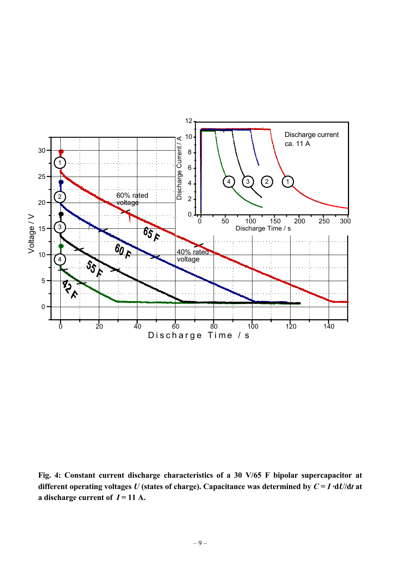

**Fig. 4: Constant current discharge characteristics of a 30 V/65 F bipolar supercapacitor at different operating voltages** *U* (states of charge). Capacitance was determined by  $C = I \cdot dU/dt$  at **a** discharge current of  $I = 11$  A.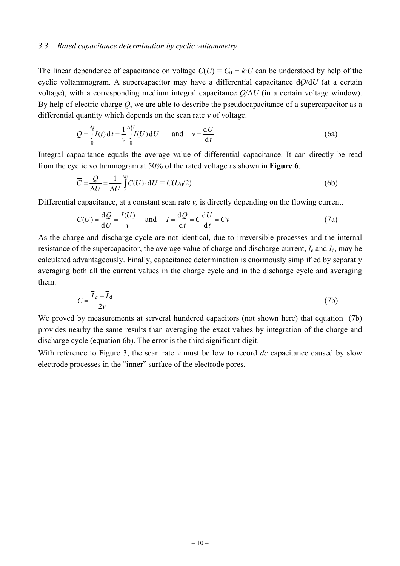### *3.3 Rated capacitance determination by cyclic voltammetry*

The linear dependence of capacitance on voltage  $C(U) = C_0 + k \cdot U$  can be understood by help of the cyclic voltammogram. A supercapacitor may have a differential capacitance d*Q*/d*U* (at a certain voltage), with a corresponding medium integral capacitance *Q*/∆*U* (in a certain voltage window). By help of electric charge *Q*, we are able to describe the pseudocapacitance of a supercapacitor as a differential quantity which depends on the scan rate *v* of voltage.

$$
Q = \int_{0}^{\Delta t} I(t) dt = \frac{1}{v} \int_{0}^{\Delta U} I(U) dU \quad \text{and} \quad v = \frac{dU}{dt}
$$
 (6a)

Integral capacitance equals the average value of differential capacitance. It can directly be read from the cyclic voltammogram at 50% of the rated voltage as shown in **Figure 6**.

$$
\overline{C} = \frac{Q}{\Delta U} = \frac{1}{\Delta U} \int_{0}^{\Delta U} C(U) \cdot dU = C(U_0/2)
$$
 (6b)

Differential capacitance, at a constant scan rate *v*, is directly depending on the flowing current.

$$
C(U) = \frac{\mathrm{d}Q}{\mathrm{d}U} = \frac{I(U)}{v} \quad \text{and} \quad I = \frac{\mathrm{d}Q}{\mathrm{d}t} = C\frac{\mathrm{d}U}{\mathrm{d}t} = Cv \tag{7a}
$$

As the charge and discharge cycle are not identical, due to irreversible processes and the internal resistance of the supercapacitor, the average value of charge and discharge current, *I*c and *I*d, may be calculated advantageously. Finally, capacitance determination is enormously simplified by separatly averaging both all the current values in the charge cycle and in the discharge cycle and averaging them.

$$
C = \frac{\overline{I}_c + \overline{I}_d}{2\nu} \tag{7b}
$$

We proved by measurements at serveral hundered capacitors (not shown here) that equation (7b) provides nearby the same results than averaging the exact values by integration of the charge and discharge cycle (equation 6b). The error is the third significant digit.

With reference to Figure 3, the scan rate *v* must be low to record *dc* capacitance caused by slow electrode processes in the "inner" surface of the electrode pores.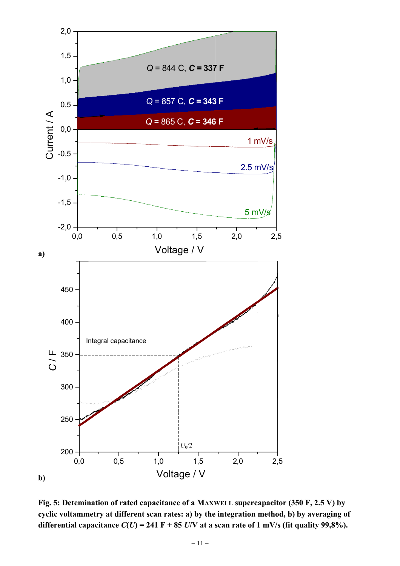

**Fig. 5: Detemination of rated capacitance of a MAXWELL supercapacitor (350 F, 2.5 V) by cyclic voltammetry at different scan rates: a) by the integration method, b) by averaging of**  differential capacitance  $C(U) = 241 \text{ F} + 85 \text{ U/V}$  at a scan rate of 1 mV/s (fit quality 99,8%).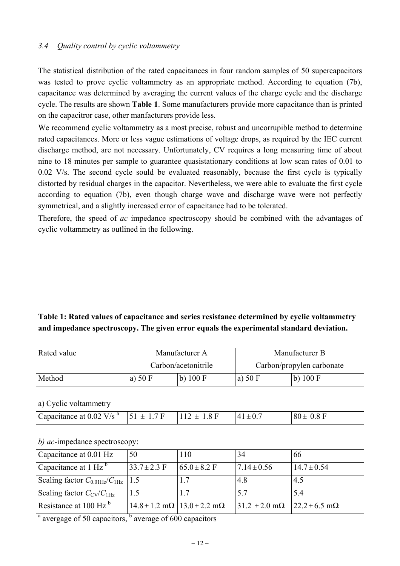## *3.4 Quality control by cyclic voltammetry*

The statistical distribution of the rated capacitances in four random samples of 50 supercapacitors was tested to prove cyclic voltammetry as an appropriate method. According to equation (7b), capacitance was determined by averaging the current values of the charge cycle and the discharge cycle. The results are shown **Table 1**. Some manufacturers provide more capacitance than is printed on the capacitror case, other manfacturers provide less.

We recommend cyclic voltammetry as a most precise, robust and uncorrupible method to determine rated capacitances. More or less vague estimations of voltage drops, as required by the IEC current discharge method, are not necessary. Unfortunately, CV requires a long measuring time of about nine to 18 minutes per sample to guarantee quasistationary conditions at low scan rates of 0.01 to 0.02 V/s. The second cycle sould be evaluated reasonably, because the first cycle is typically distorted by residual charges in the capacitor. Nevertheless, we were able to evaluate the first cycle according to equation (7b), even though charge wave and discharge wave were not perfectly symmetrical, and a slightly increased error of capacitance had to be tolerated.

Therefore, the speed of *ac* impedance spectroscopy should be combined with the advantages of cyclic voltammetry as outlined in the following.

## **Table 1: Rated values of capacitance and series resistance determined by cyclic voltammetry and impedance spectroscopy. The given error equals the experimental standard deviation.**

| Rated value                                       | Manufacturer A      |                                                       | Manufacturer B                 |                           |
|---------------------------------------------------|---------------------|-------------------------------------------------------|--------------------------------|---------------------------|
|                                                   | Carbon/acetonitrile |                                                       | Carbon/propylen carbonate      |                           |
| Method                                            | a) $50 \text{ F}$   | b) $100 F$                                            | a) $50 \text{ F}$              | b) $100 \mathrm{F}$       |
|                                                   |                     |                                                       |                                |                           |
| a) Cyclic voltammetry                             |                     |                                                       |                                |                           |
| Capacitance at 0.02 V/s $a$                       | $51 \pm 1.7$ F      | $112 \pm 1.8$ F                                       | $41 \pm 0.7$                   | $80 \pm 0.8$ F            |
|                                                   |                     |                                                       |                                |                           |
| b) ac-impedance spectroscopy:                     |                     |                                                       |                                |                           |
| Capacitance at 0.01 Hz                            | 50                  | 110                                                   | 34                             | 66                        |
| Capacitance at 1 Hz $b$                           | $33.7 \pm 2.3$ F    | $65.0 \pm 8.2$ F                                      | $7.14 \pm 0.56$                | $14.7 \pm 0.54$           |
| Scaling factor $C_{0.01\text{Hz}}/C_{1\text{Hz}}$ | 1.5                 | 1.7                                                   | 4.8                            | 4.5                       |
| Scaling factor $C_{\rm CV}/C_{\rm 1Hz}$           | 1.5                 | 1.7                                                   | 5.7                            | 5.4                       |
| Resistance at 100 Hz <sup>b</sup>                 | h.                  | $14.8 \pm 1.2$ m $\Omega$   13.0 $\pm$ 2.2 m $\Omega$ | $31.2 \pm 2.0 \text{ m}\Omega$ | $22.2 \pm 6.5$ m $\Omega$ |

<sup>a</sup> avergage of 50 capacitors,  $\frac{b}{b}$  average of 600 capacitors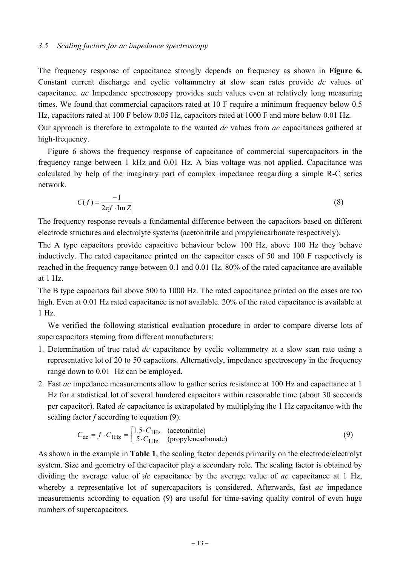The frequency response of capacitance strongly depends on frequency as shown in **Figure 6.** Constant current discharge and cyclic voltammetry at slow scan rates provide *dc* values of capacitance. *ac* Impedance spectroscopy provides such values even at relatively long measuring times. We found that commercial capacitors rated at 10 F require a minimum frequency below 0.5 Hz, capacitors rated at 100 F below 0.05 Hz, capacitors rated at 1000 F and more below 0.01 Hz.

Our approach is therefore to extrapolate to the wanted *dc* values from *ac* capacitances gathered at high-frequency.

Figure 6 shows the frequency response of capacitance of commercial supercapacitors in the frequency range between 1 kHz and 0.01 Hz. A bias voltage was not applied. Capacitance was calculated by help of the imaginary part of complex impedance reagarding a simple R-C series network.

$$
C(f) = \frac{-1}{2\pi f \cdot \text{Im}\,\underline{Z}}\tag{8}
$$

The frequency response reveals a fundamental difference between the capacitors based on different electrode structures and electrolyte systems (acetonitrile and propylencarbonate respectively).

The A type capacitors provide capacitive behaviour below 100 Hz, above 100 Hz they behave inductively. The rated capacitance printed on the capacitor cases of 50 and 100 F respectively is reached in the frequency range between 0.1 and 0.01 Hz. 80% of the rated capacitance are available at 1 Hz.

The B type capacitors fail above 500 to 1000 Hz. The rated capacitance printed on the cases are too high. Even at 0.01 Hz rated capacitance is not available. 20% of the rated capacitance is available at 1 Hz.

 We verified the following statistical evaluation procedure in order to compare diverse lots of supercapacitors steming from different manufacturers:

- 1. Determination of true rated *dc* capacitance by cyclic voltammetry at a slow scan rate using a representative lot of 20 to 50 capacitors. Alternatively, impedance spectroscopy in the frequency range down to 0.01 Hz can be employed.
- 2. Fast *ac* impedance measurements allow to gather series resistance at 100 Hz and capacitance at 1 Hz for a statistical lot of several hundered capacitors within reasonable time (about 30 seceonds per capacitor). Rated *dc* capacitance is extrapolated by multiplying the 1 Hz capacitance with the scaling factor *f* according to equation (9).

$$
C_{\text{dc}} = f \cdot C_{1\text{Hz}} = \begin{cases} 1.5 \cdot C_{1\text{Hz}} & \text{(acetonitrile)}\\ 5 \cdot C_{1\text{Hz}} & \text{(propylenearbonate)} \end{cases} \tag{9}
$$

As shown in the example in **Table 1**, the scaling factor depends primarily on the electrode/electrolyt system. Size and geometry of the capacitor play a secondary role. The scaling factor is obtained by dividing the average value of *dc* capacitance by the average value of *ac* capacitance at 1 Hz, whereby a representative lot of supercapacitors is considered. Afterwards, fast *ac* impedance measurements according to equation (9) are useful for time-saving quality control of even huge numbers of supercapacitors.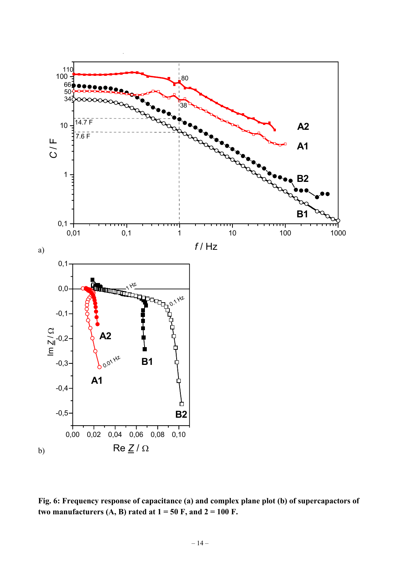

**Fig. 6: Frequency response of capacitance (a) and complex plane plot (b) of supercapactors of**  two manufacturers  $(A, B)$  rated at  $1 = 50$  F, and  $2 = 100$  F.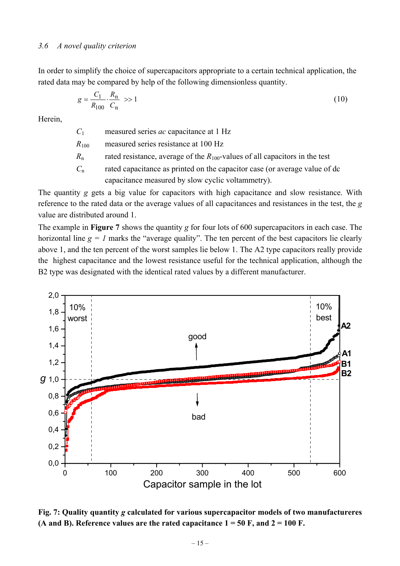### *3.6 A novel quality criterion*

In order to simplify the choice of supercapacitors appropriate to a certain technical application, the rated data may be compared by help of the following dimensionless quantity.

$$
g = \frac{C_1}{R_{100}} \cdot \frac{R_n}{C_n} \gg 1
$$
\n(10)

Herein,

*C*1 measured series *ac* capacitance at 1 Hz

- *R*100 measured series resistance at 100 Hz
- $R_n$  rated resistance, average of the  $R_{100}$ -values of all capacitors in the test
- *C*n rated capacitance as printed on the capacitor case (or average value of dc capacitance measured by slow cyclic voltammetry).

The quantity *g* gets a big value for capacitors with high capacitance and slow resistance. With reference to the rated data or the average values of all capacitances and resistances in the test, the *g*  value are distributed around 1.

The example in **Figure 7** shows the quantity *g* for four lots of 600 supercapacitors in each case. The horizontal line  $g = 1$  marks the "average quality". The ten percent of the best capacitors lie clearly above 1, and the ten percent of the worst samples lie below 1. The A2 type capacitors really provide the highest capacitance and the lowest resistance useful for the technical application, although the B2 type was designated with the identical rated values by a different manufacturer.



**Fig. 7: Quality quantity** *g* **calculated for various supercapacitor models of two manufactureres**  (A and B). Reference values are the rated capacitance  $1 = 50$  F, and  $2 = 100$  F.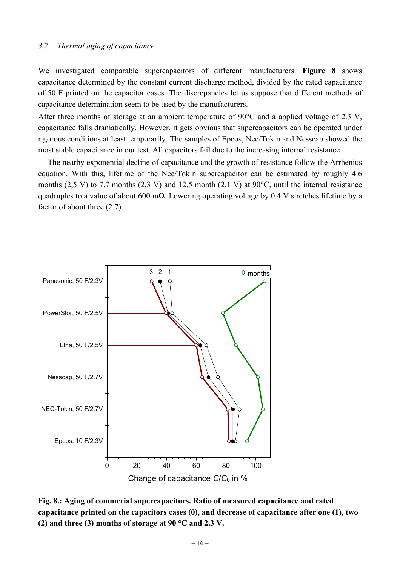### *3.7 Thermal aging of capacitance*

We investigated comparable supercapacitors of different manufacturers. **Figure 8** shows capacitance determined by the constant current discharge method, divided by the rated capacitance of 50 F printed on the capacitor cases. The discrepancies let us suppose that different methods of capacitance determination seem to be used by the manufacturers.

After three months of storage at an ambient temperature of 90°C and a applied voltage of 2.3 V, capacitance falls dramatically. However, it gets obvious that supercapacitors can be operated under rigorous conditions at least temporarily. The samples of Epcos, Nec/Tokin and Nesscap showed the most stable capacitance in our test. All capacitors fail due to the increasing internal resistance.

 The nearby exponential decline of capacitance and the growth of resistance follow the Arrhenius equation. With this, lifetime of the Nec/Tokin supercapacitor can be estimated by roughly 4.6 months (2,5 V) to 7.7 months (2,3 V) and 12.5 month (2.1 V) at 90°C, until the internal resistance quadruples to a value of about 600 m $\Omega$ . Lowering operating voltage by 0.4 V stretches lifetime by a factor of about three (2.7).



**Fig. 8.: Aging of commerial supercapacitors. Ratio of measured capacitance and rated capacitance printed on the capacitors cases (0), and decrease of capacitance after one (1), two (2) and three (3) months of storage at 90 °C and 2.3 V.**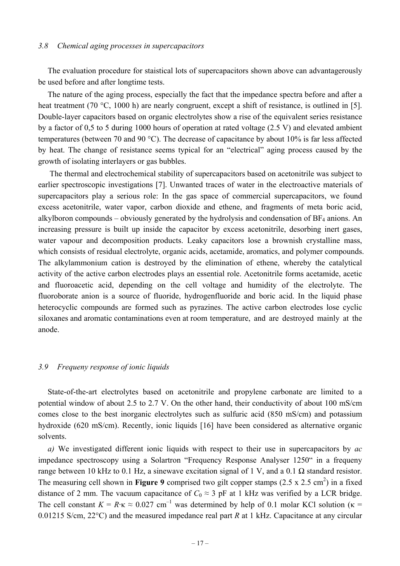### *3.8 Chemical aging processes in supercapacitors*

 The evaluation procedure for staistical lots of supercapacitors shown above can advantagerously be used before and after longtime tests.

 The nature of the aging process, especially the fact that the impedance spectra before and after a heat treatment (70 °C, 1000 h) are nearly congruent, except a shift of resistance, is outlined in [5]. Double-layer capacitors based on organic electrolytes show a rise of the equivalent series resistance by a factor of 0,5 to 5 during 1000 hours of operation at rated voltage (2.5 V) and elevated ambient temperatures (between 70 and 90 °C). The decrease of capacitance by about 10% is far less affected by heat. The change of resistance seems typical for an "electrical" aging process caused by the growth of isolating interlayers or gas bubbles.

 The thermal and electrochemical stability of supercapacitors based on acetonitrile was subject to earlier spectroscopic investigations [7]. Unwanted traces of water in the electroactive materials of supercapacitors play a serious role: In the gas space of commercial supercapacitors, we found excess acetonitrile, water vapor, carbon dioxide and ethene, and fragments of meta boric acid, alkylboron compounds – obviously generated by the hydrolysis and condensation of  $BF_4$  anions. An increasing pressure is built up inside the capacitor by excess acetonitrile, desorbing inert gases, water vapour and decomposition products. Leaky capacitors lose a brownish crystalline mass, which consists of residual electrolyte, organic acids, acetamide, aromatics, and polymer compounds. The alkylammonium cation is destroyed by the elimination of ethene, whereby the catalytical activity of the active carbon electrodes plays an essential role. Acetonitrile forms acetamide, acetic and fluoroacetic acid, depending on the cell voltage and humidity of the electrolyte. The fluoroborate anion is a source of fluoride, hydrogenfluoride and boric acid. In the liquid phase heterocyclic compounds are formed such as pyrazines. The active carbon electrodes lose cyclic siloxanes and aromatic contaminations even at room temperature, and are destroyed mainly at the anode.

## *3.9 Frequeny response of ionic liquids*

 State-of-the-art electrolytes based on acetonitrile and propylene carbonate are limited to a potential window of about 2.5 to 2.7 V. On the other hand, their conductivity of about 100 mS/cm comes close to the best inorganic electrolytes such as sulfuric acid (850 mS/cm) and potassium hydroxide (620 mS/cm). Recently, ionic liquids [16] have been considered as alternative organic solvents.

 *a)* We investigated different ionic liquids with respect to their use in supercapacitors by *ac* impedance spectroscopy using a Solartron "Frequency Response Analyser 1250" in a frequeny range between 10 kHz to 0.1 Hz, a sinewave excitation signal of 1 V, and a 0.1 Ω standard resistor. The measuring cell shown in **Figure 9** comprised two gilt copper stamps  $(2.5 \times 2.5 \text{ cm}^2)$  in a fixed distance of 2 mm. The vacuum capacitance of  $C_0 \approx 3$  pF at 1 kHz was verified by a LCR bridge. The cell constant  $K = R \cdot \kappa \approx 0.027$  cm<sup>-1</sup> was determined by help of 0.1 molar KCl solution ( $\kappa$  = 0.01215 S/cm, 22°C) and the measured impedance real part *R* at 1 kHz. Capacitance at any circular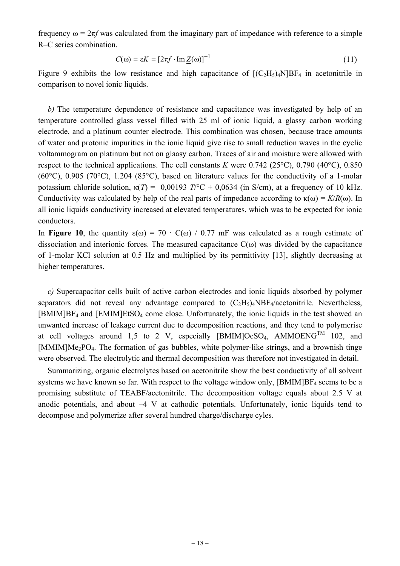frequency  $\omega = 2\pi f$  was calculated from the imaginary part of impedance with reference to a simple R–C series combination.

$$
C(\omega) = \varepsilon K = \left[2\pi f \cdot \text{Im}\, Z(\omega)\right]^{-1} \tag{11}
$$

Figure 9 exhibits the low resistance and high capacitance of  $[(C_2H_5)_4N]BF_4$  in acetonitrile in comparison to novel ionic liquids.

 *b)* The temperature dependence of resistance and capacitance was investigated by help of an temperature controlled glass vessel filled with 25 ml of ionic liquid, a glassy carbon working electrode, and a platinum counter electrode. This combination was chosen, because trace amounts of water and protonic impurities in the ionic liquid give rise to small reduction waves in the cyclic voltammogram on platinum but not on glaasy carbon. Traces of air and moisture were allowed with respect to the technical applications. The cell constants *K* were 0.742 (25°C), 0.790 (40°C), 0.850 (60 $^{\circ}$ C), 0.905 (70 $^{\circ}$ C), 1.204 (85 $^{\circ}$ C), based on literature values for the conductivity of a 1-molar potassium chloride solution,  $κ(T) = 0.00193 T/C + 0.0634$  (in S/cm), at a frequency of 10 kHz. Conductivity was calculated by help of the real parts of impedance according to  $\kappa(\omega) = K/R(\omega)$ . In all ionic liquids conductivity increased at elevated temperatures, which was to be expected for ionic conductors.

In **Figure 10**, the quantity  $\varepsilon(\omega) = 70 \cdot C(\omega) / 0.77$  mF was calculated as a rough estimate of dissociation and interionic forces. The measured capacitance  $C(\omega)$  was divided by the capacitance of 1-molar KCl solution at 0.5 Hz and multiplied by its permittivity [13], slightly decreasing at higher temperatures.

*c)* Supercapacitor cells built of active carbon electrodes and ionic liquids absorbed by polymer separators did not reveal any advantage compared to  $(C_2H_5)_4NBF_4/acetonitrile$ . Nevertheless,  $[BMIM]BF<sub>4</sub>$  and  $[EMIM]EtSO<sub>4</sub>$  come close. Unfortunately, the ionic liquids in the test showed an unwanted increase of leakage current due to decomposition reactions, and they tend to polymerise at cell voltages around 1,5 to 2 V, especially [BMIM]OcSO<sub>4</sub>, AMMOENG<sup>TM</sup> 102, and [MMIM]Me2PO4. The formation of gas bubbles, white polymer-like strings, and a brownish tinge were observed. The electrolytic and thermal decomposition was therefore not investigated in detail.

 Summarizing, organic electrolytes based on acetonitrile show the best conductivity of all solvent systems we have known so far. With respect to the voltage window only,  $[BMIM]BF<sub>4</sub>$  seems to be a promising substitute of TEABF/acetonitrile. The decomposition voltage equals about 2.5 V at anodic potentials, and about  $-4$  V at cathodic potentials. Unfortunately, ionic liquids tend to decompose and polymerize after several hundred charge/discharge cyles.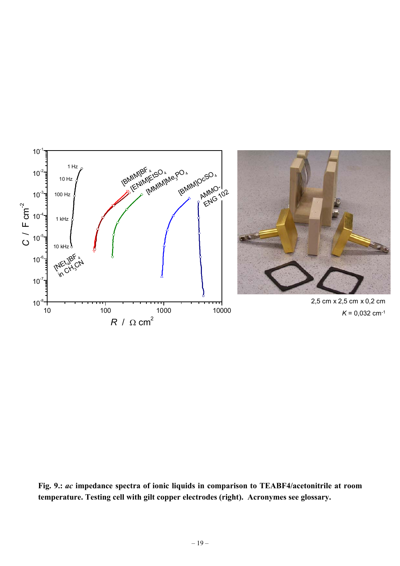

**Fig. 9.:** *ac* **impedance spectra of ionic liquids in comparison to TEABF4/acetonitrile at room temperature. Testing cell with gilt copper electrodes (right). Acronymes see glossary.**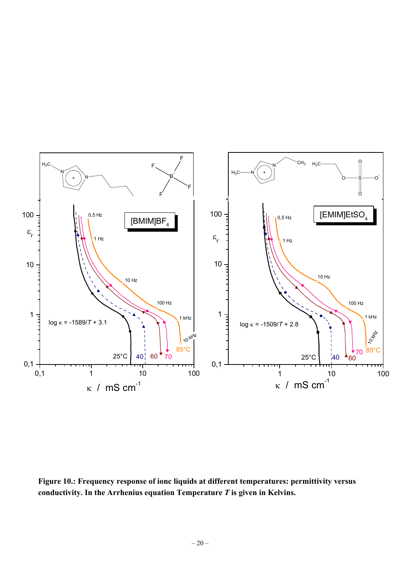

**Figure 10.: Frequency response of ionc liquids at different temperatures: permittivity versus conductivity. In the Arrhenius equation Temperature** *T* **is given in Kelvins.**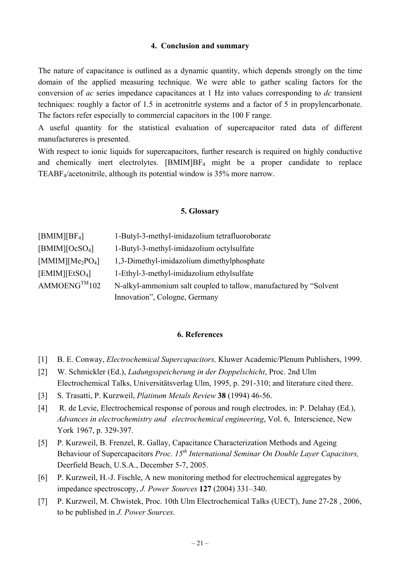### **4. Conclusion and summary**

The nature of capacitance is outlined as a dynamic quantity, which depends strongly on the time domain of the applied measuring technique. We were able to gather scaling factors for the conversion of *ac* series impedance capacitances at 1 Hz into values corresponding to *dc* transient techniques: roughly a factor of 1.5 in acetronitrle systems and a factor of 5 in propylencarbonate. The factors refer especially to commercial capacitors in the 100 F range.

A useful quantity for the statistical evaluation of supercapacitor rated data of different manufactureres is presented.

With respect to ionic liquids for supercapacitors, further research is required on highly conductive and chemically inert electrolytes. [BMIM]BF4 might be a proper candidate to replace TEABF4/acetonitrile, although its potential window is 35% more narrow.

#### **5. Glossary**

| $[BMIM][BF_4]$                           | 1-Butyl-3-methyl-imidazolium tetrafluoroborate                     |
|------------------------------------------|--------------------------------------------------------------------|
| [BMIM][OcSO <sub>4</sub> ]               | 1-Butyl-3-methyl-imidazolium octylsulfate                          |
| [MMIM][Me <sub>2</sub> PO <sub>4</sub> ] | 1,3-Dimethyl-imidazolium dimethylphosphate                         |
| [EMIM][EtSO <sub>4</sub> ]               | 1-Ethyl-3-methyl-imidazolium ethylsulfate                          |
| $AMMOENG^{TM}102$                        | N-alkyl-ammonium salt coupled to tallow, manufactured by "Solvent" |
|                                          | Innovation", Cologne, Germany                                      |

### **6. References**

- [1] B. E. Conway, *Electrochemical Supercapacitors,* Kluwer Academic/Plenum Publishers, 1999.
- [2] W. Schmickler (Ed.), *Ladungsspeicherung in der Doppelschicht*, Proc. 2nd Ulm Electrochemical Talks, Universitätsverlag Ulm, 1995, p. 291-310; and literature cited there.
- [3] S. Trasatti, P. Kurzweil, *Platinum Metals Review* **38** (1994) 46-56.
- [4] R. de Levie, Electrochemical response of porous and rough electrodes, in: P. Delahay (Ed.), *Advances in electrochemistry and electrochemical engineering*, Vol. 6, Interscience, New York 1967, p. 329-397.
- [5] P. Kurzweil, B. Frenzel, R. Gallay, Capacitance Characterization Methods and Ageing Behaviour of Supercapacitors *Proc. 15<sup>th</sup> International Seminar On Double Layer Capacitors,* Deerfield Beach, U.S.A., December 5-7, 2005.
- [6] P. Kurzweil, H.-J. Fischle, A new monitoring method for electrochemical aggregates by impedance spectroscopy, *J. Power Sources* **127** (2004) 331–340.
- [7] P. Kurzweil, M. Chwistek, Proc. 10th Ulm Electrochemical Talks (UECT), June 27-28 , 2006, to be published in *J. Power Sources*.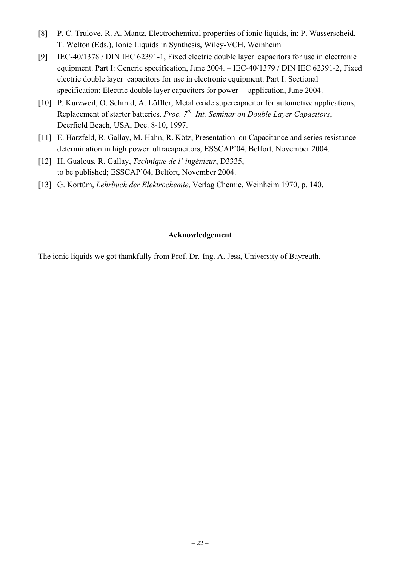- [8] P. C. Trulove, R. A. Mantz, Electrochemical properties of ionic liquids, in: P. Wasserscheid, T. Welton (Eds.), Ionic Liquids in Synthesis, Wiley-VCH, Weinheim
- [9] IEC-40/1378 / DIN IEC 62391-1, Fixed electric double layer capacitors for use in electronic equipment. Part I: Generic specification, June 2004. – IEC-40/1379 / DIN IEC 62391-2, Fixed electric double layer capacitors for use in electronic equipment. Part I: Sectional specification: Electric double layer capacitors for power application, June 2004.
- [10] P. Kurzweil, O. Schmid, A. Löffler, Metal oxide supercapacitor for automotive applications, Replacement of starter batteries. *Proc. 7th Int. Seminar on Double Layer Capacitors*, Deerfield Beach, USA, Dec. 8-10, 1997.
- [11] E. Harzfeld, R. Gallay, M. Hahn, R. Kötz, Presentation on Capacitance and series resistance determination in high power ultracapacitors, ESSCAP'04, Belfort, November 2004.
- [12] H. Gualous, R. Gallay, *Technique de l' ingénieur*, D3335, to be published; ESSCAP'04, Belfort, November 2004.
- [13] G. Kortüm, *Lehrbuch der Elektrochemie*, Verlag Chemie, Weinheim 1970, p. 140.

### **Acknowledgement**

The ionic liquids we got thankfully from Prof. Dr.-Ing. A. Jess, University of Bayreuth.